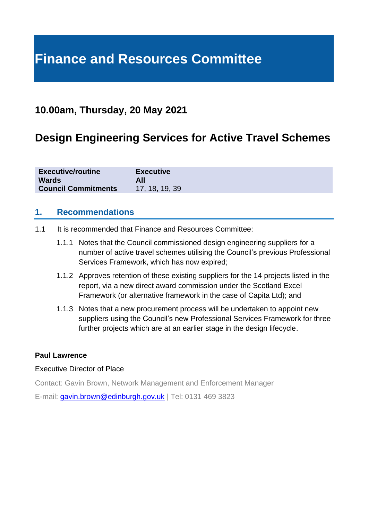# **Finance and Resources Committee**

# **10.00am, Thursday, 20 May 2021**

# **Design Engineering Services for Active Travel Schemes**

| <b>Executive/routine</b>   | <b>Executive</b> |
|----------------------------|------------------|
| <b>Wards</b>               | All              |
| <b>Council Commitments</b> | 17, 18, 19, 39   |

#### **1. Recommendations**

- 1.1 It is recommended that Finance and Resources Committee:
	- 1.1.1 Notes that the Council commissioned design engineering suppliers for a number of active travel schemes utilising the Council's previous Professional Services Framework, which has now expired;
	- 1.1.2 Approves retention of these existing suppliers for the 14 projects listed in the report, via a new direct award commission under the Scotland Excel Framework (or alternative framework in the case of Capita Ltd); and
	- 1.1.3 Notes that a new procurement process will be undertaken to appoint new suppliers using the Council's new Professional Services Framework for three further projects which are at an earlier stage in the design lifecycle.

#### **Paul Lawrence**

#### Executive Director of Place

Contact: Gavin Brown, Network Management and Enforcement Manager

E-mail: [gavin.brown@edinburgh.gov.uk](mailto:gavin.brown@edinburgh.gov.uk) | Tel: 0131 469 3823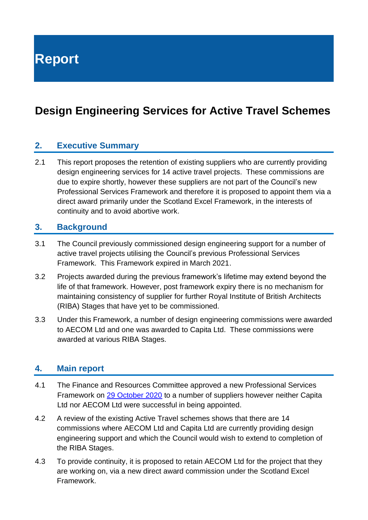**Report**

# **Design Engineering Services for Active Travel Schemes**

#### **2. Executive Summary**

2.1 This report proposes the retention of existing suppliers who are currently providing design engineering services for 14 active travel projects. These commissions are due to expire shortly, however these suppliers are not part of the Council's new Professional Services Framework and therefore it is proposed to appoint them via a direct award primarily under the Scotland Excel Framework, in the interests of continuity and to avoid abortive work.

#### **3. Background**

- 3.1 The Council previously commissioned design engineering support for a number of active travel projects utilising the Council's previous Professional Services Framework. This Framework expired in March 2021.
- 3.2 Projects awarded during the previous framework's lifetime may extend beyond the life of that framework. However, post framework expiry there is no mechanism for maintaining consistency of supplier for further Royal Institute of British Architects (RIBA) Stages that have yet to be commissioned.
- 3.3 Under this Framework, a number of design engineering commissions were awarded to AECOM Ltd and one was awarded to Capita Ltd. These commissions were awarded at various RIBA Stages.

#### **4. Main report**

- 4.1 The Finance and Resources Committee approved a new Professional Services Framework on 29 [October 2020](https://democracy.edinburgh.gov.uk/documents/s28384/7.6%20-%20Award%20of%20Contract%20for%20Professional%20Services%20Framework%20V2.pdf) to a number of suppliers however neither Capita Ltd nor AECOM Ltd were successful in being appointed.
- 4.2 A review of the existing Active Travel schemes shows that there are 14 commissions where AECOM Ltd and Capita Ltd are currently providing design engineering support and which the Council would wish to extend to completion of the RIBA Stages.
- 4.3 To provide continuity, it is proposed to retain AECOM Ltd for the project that they are working on, via a new direct award commission under the Scotland Excel Framework.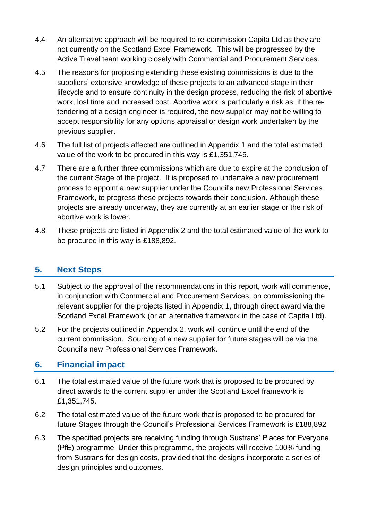- 4.4 An alternative approach will be required to re-commission Capita Ltd as they are not currently on the Scotland Excel Framework. This will be progressed by the Active Travel team working closely with Commercial and Procurement Services.
- 4.5 The reasons for proposing extending these existing commissions is due to the suppliers' extensive knowledge of these projects to an advanced stage in their lifecycle and to ensure continuity in the design process, reducing the risk of abortive work, lost time and increased cost. Abortive work is particularly a risk as, if the retendering of a design engineer is required, the new supplier may not be willing to accept responsibility for any options appraisal or design work undertaken by the previous supplier.
- 4.6 The full list of projects affected are outlined in Appendix 1 and the total estimated value of the work to be procured in this way is £1,351,745.
- 4.7 There are a further three commissions which are due to expire at the conclusion of the current Stage of the project. It is proposed to undertake a new procurement process to appoint a new supplier under the Council's new Professional Services Framework, to progress these projects towards their conclusion. Although these projects are already underway, they are currently at an earlier stage or the risk of abortive work is lower.
- 4.8 These projects are listed in Appendix 2 and the total estimated value of the work to be procured in this way is £188,892.

### **5. Next Steps**

- 5.1 Subject to the approval of the recommendations in this report, work will commence, in conjunction with Commercial and Procurement Services, on commissioning the relevant supplier for the projects listed in Appendix 1, through direct award via the Scotland Excel Framework (or an alternative framework in the case of Capita Ltd).
- 5.2 For the projects outlined in Appendix 2, work will continue until the end of the current commission. Sourcing of a new supplier for future stages will be via the Council's new Professional Services Framework.

### **6. Financial impact**

- 6.1 The total estimated value of the future work that is proposed to be procured by direct awards to the current supplier under the Scotland Excel framework is £1,351,745.
- 6.2 The total estimated value of the future work that is proposed to be procured for future Stages through the Council's Professional Services Framework is £188,892.
- 6.3 The specified projects are receiving funding through Sustrans' Places for Everyone (PfE) programme. Under this programme, the projects will receive 100% funding from Sustrans for design costs, provided that the designs incorporate a series of design principles and outcomes.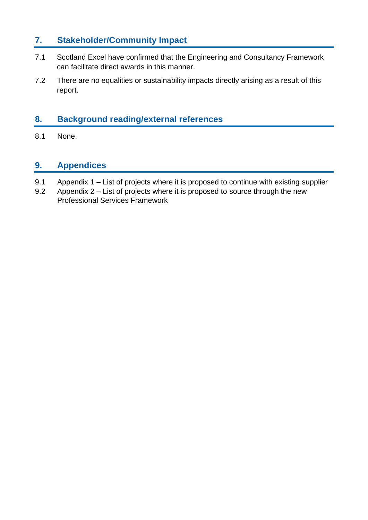### **7. Stakeholder/Community Impact**

- 7.1 Scotland Excel have confirmed that the Engineering and Consultancy Framework can facilitate direct awards in this manner.
- 7.2 There are no equalities or sustainability impacts directly arising as a result of this report.

## **8. Background reading/external references**

8.1 None.

#### **9. Appendices**

- 9.1 Appendix 1 List of projects where it is proposed to continue with existing supplier
- 9.2 Appendix 2 List of projects where it is proposed to source through the new Professional Services Framework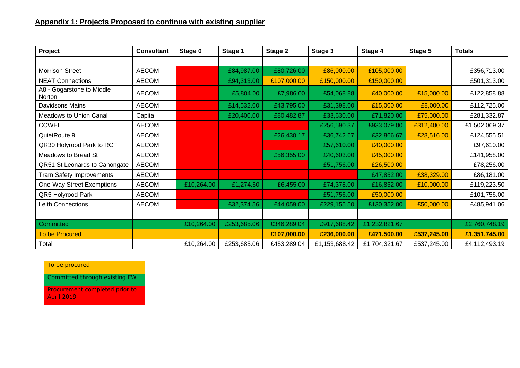### **Appendix 1: Projects Proposed to continue with existing supplier**

| Project                             | <b>Consultant</b> | Stage 0    | Stage 1     | Stage 2     | Stage 3       | Stage 4       | Stage 5     | <b>Totals</b> |
|-------------------------------------|-------------------|------------|-------------|-------------|---------------|---------------|-------------|---------------|
|                                     |                   |            |             |             |               |               |             |               |
| <b>Morrison Street</b>              | <b>AECOM</b>      |            | £84,987.00  | £80,726.00  | £86,000.00    | £105,000.00   |             | £356,713.00   |
| <b>NEAT Connections</b>             | <b>AECOM</b>      |            | £94,313.00  | £107,000.00 | £150,000.00   | £150,000.00   |             | £501,313.00   |
| A8 - Gogarstone to Middle<br>Norton | <b>AECOM</b>      |            | £5,804.00   | £7,986.00   | £54,068.88    | £40,000.00    | £15,000.00  | £122,858.88   |
| Davidsons Mains                     | <b>AECOM</b>      |            | £14,532.00  | £43,795.00  | £31,398.00    | £15,000.00    | £8,000.00   | £112,725.00   |
| Meadows to Union Canal              | Capita            |            | £20,400.00  | £80,482.87  | £33,630.00    | £71,820.00    | £75,000.00  | £281,332.87   |
| <b>CCWEL</b>                        | <b>AECOM</b>      |            |             |             | £256,590.37   | £933,079.00   | £312,400.00 | £1,502,069.37 |
| QuietRoute 9                        | <b>AECOM</b>      |            |             | £26,430.17  | £36,742.67    | £32,866.67    | £28,516.00  | £124,555.51   |
| QR30 Holyrood Park to RCT           | <b>AECOM</b>      |            |             |             | £57,610.00    | £40,000.00    |             | £97,610.00    |
| Meadows to Bread St                 | <b>AECOM</b>      |            |             | £56,355.00  | £40,603.00    | £45,000.00    |             | £141,958.00   |
| QR51 St Leonards to Canongate       | <b>AECOM</b>      |            |             |             | £51,756.00    | £26,500.00    |             | £78,256.00    |
| <b>Tram Safety Improvements</b>     | <b>AECOM</b>      |            |             |             |               | £47,852.00    | £38,329.00  | £86,181.00    |
| One-Way Street Exemptions           | <b>AECOM</b>      | £10,264.00 | £1,274.50   | £6,455.00   | £74,378.00    | £16,852.00    | £10,000.00  | £119,223.50   |
| QR5 Holyrood Park                   | <b>AECOM</b>      |            |             |             | £51,756.00    | £50,000.00    |             | £101,756.00   |
| <b>Leith Connections</b>            | <b>AECOM</b>      |            | £32,374.56  | £44,059.00  | £229,155.50   | £130,352.00   | £50,000.00  | £485,941.06   |
|                                     |                   |            |             |             |               |               |             |               |
| Committed                           |                   | £10,264.00 | £253,685.06 | £346,289.04 | £917,688.42   | £1,232,821.67 |             | £2,760,748.19 |
| <b>To be Procured</b>               |                   |            |             | £107,000.00 | £236,000.00   | £471,500.00   | £537,245.00 | £1,351,745.00 |
| Total                               |                   | £10,264.00 | £253,685.06 | £453,289.04 | £1,153,688.42 | £1,704,321.67 | £537,245.00 | £4,112,493.19 |

To be procured

Committed through existing FW

Procurement completed prior to April 2019